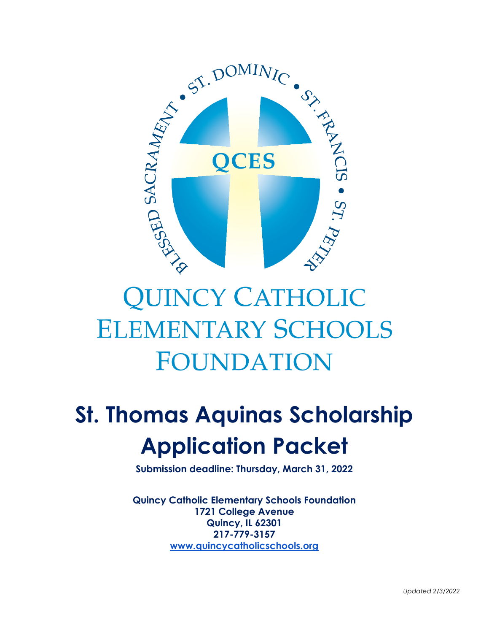

# **QUINCY CATHOLIC ELEMENTARY SCHOOLS FOUNDATION**

## **St. Thomas Aquinas Scholarship Application Packet**

**Submission deadline: Thursday, March 31, 2022**

**Quincy Catholic Elementary Schools Foundation 1721 College Avenue Quincy, IL 62301 217-779-3157 [www.quincycatholicschools.org](http://www.quincycatholicschools.org/)**

*Updated 2/3/2022*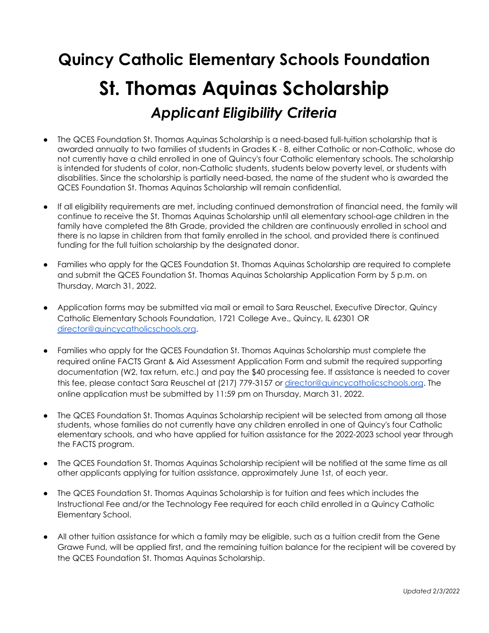### **Quincy Catholic Elementary Schools Foundation St. Thomas Aquinas Scholarship** *Applicant Eligibility Criteria*

- The QCES Foundation St. Thomas Aquinas Scholarship is a need-based full-tuition scholarship that is awarded annually to two families of students in Grades K - 8, either Catholic or non-Catholic, whose do not currently have a child enrolled in one of Quincy's four Catholic elementary schools. The scholarship is intended for students of color, non-Catholic students, students below poverty level, or students with disabilities. Since the scholarship is partially need-based, the name of the student who is awarded the QCES Foundation St. Thomas Aquinas Scholarship will remain confidential.
- If all eligibility requirements are met, including continued demonstration of financial need, the family will continue to receive the St. Thomas Aquinas Scholarship until all elementary school-age children in the family have completed the 8th Grade, provided the children are continuously enrolled in school and there is no lapse in children from that family enrolled in the school, and provided there is continued funding for the full tuition scholarship by the designated donor.
- Families who apply for the QCES Foundation St. Thomas Aquinas Scholarship are required to complete and submit the QCES Foundation St. Thomas Aquinas Scholarship Application Form by 5 p.m. on Thursday, March 31, 2022.
- Application forms may be submitted via mail or email to Sara Reuschel, Executive Director, Quincy Catholic Elementary Schools Foundation, 1721 College Ave., Quincy, IL 62301 OR [director@quincycatholicschools.org](mailto:director@quincycatholicschools.org).
- Families who apply for the QCES Foundation St. Thomas Aquinas Scholarship must complete the required online FACTS Grant & Aid Assessment Application Form and submit the required supporting documentation (W2, tax return, etc.) and pay the \$40 processing fee. If assistance is needed to cover this fee, please contact Sara Reuschel at (217) 779-3157 or [director@quincycatholicschools.org](mailto:director@quincycatholicschools.org). The online application must be submitted by 11:59 pm on Thursday, March 31, 2022.
- The QCES Foundation St. Thomas Aquinas Scholarship recipient will be selected from among all those students, whose families do not currently have any children enrolled in one of Quincy's four Catholic elementary schools, and who have applied for tuition assistance for the 2022-2023 school year through the FACTS program.
- The QCES Foundation St. Thomas Aquinas Scholarship recipient will be notified at the same time as all other applicants applying for tuition assistance, approximately June 1st, of each year.
- The QCES Foundation St. Thomas Aquinas Scholarship is for tuition and fees which includes the Instructional Fee and/or the Technology Fee required for each child enrolled in a Quincy Catholic Elementary School.
- All other tuition assistance for which a family may be eligible, such as a tuition credit from the Gene Grawe Fund, will be applied first, and the remaining tuition balance for the recipient will be covered by the QCES Foundation St. Thomas Aquinas Scholarship.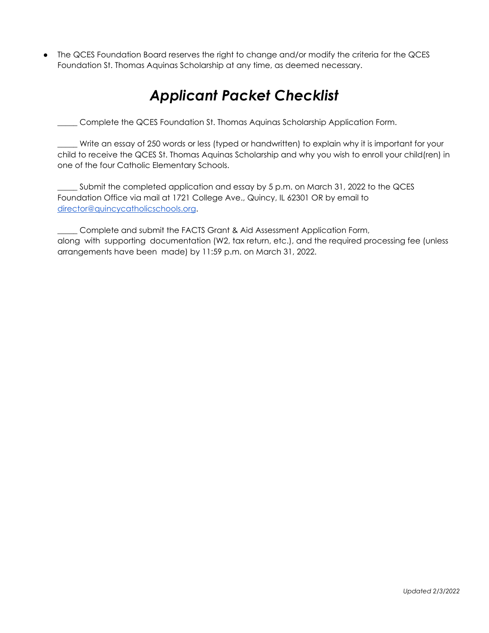The QCES Foundation Board reserves the right to change and/or modify the criteria for the QCES Foundation St. Thomas Aquinas Scholarship at any time, as deemed necessary.

#### *Applicant Packet Checklist*

\_\_\_\_\_ Complete the QCES Foundation St. Thomas Aquinas Scholarship Application Form.

\_\_\_\_\_ Write an essay of 250 words or less (typed or handwritten) to explain why it is important for your child to receive the QCES St. Thomas Aquinas Scholarship and why you wish to enroll your child(ren) in one of the four Catholic Elementary Schools.

\_\_\_\_\_ Submit the completed application and essay by 5 p.m. on March 31, 2022 to the QCES Foundation Office via mail at 1721 College Ave., Quincy, IL 62301 OR by email to [director@quincycatholicschools.org](mailto:director@quincycatholicschools.org).

\_\_\_\_\_ Complete and submit the FACTS Grant & Aid Assessment Application Form, along with supporting documentation (W2, tax return, etc.), and the required processing fee (unless arrangements have been made) by 11:59 p.m. on March 31, 2022.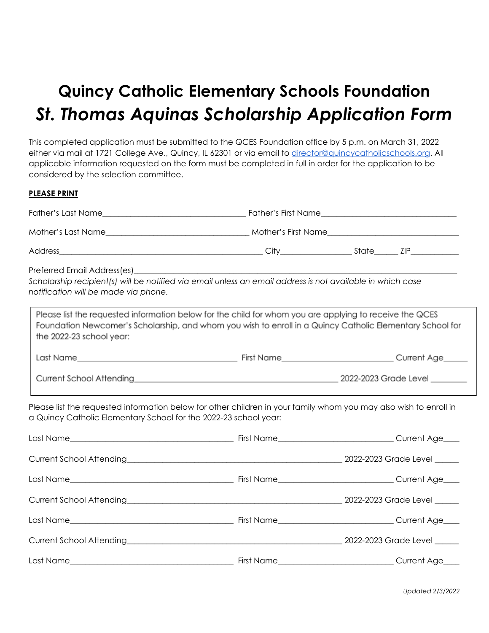### **Quincy Catholic Elementary Schools Foundation** *St. Thomas Aquinas Scholarship Application Form*

This completed application must be submitted to the QCES Foundation office by 5 p.m. on March 31, 2022 either via mail at 1721 College Ave., Quincy, IL 62301 or via email to [director@quincycatholicschools.org](mailto:director@quincycatholicschools.org). All applicable information requested on the form must be completed in full in order for the application to be considered by the selection committee.

#### **PLEASE PRINT**

| Preferred Email Address(es)<br>notification will be made via phone. | Scholarship recipient(s) will be notified via email unless an email address is not available in which case                                                                                                           |  |  |
|---------------------------------------------------------------------|----------------------------------------------------------------------------------------------------------------------------------------------------------------------------------------------------------------------|--|--|
| the 2022-23 school year:                                            | Please list the requested information below for the child for whom you are applying to receive the QCES<br>Foundation Newcomer's Scholarship, and whom you wish to enroll in a Quincy Catholic Elementary School for |  |  |
|                                                                     |                                                                                                                                                                                                                      |  |  |
|                                                                     |                                                                                                                                                                                                                      |  |  |
| a Quincy Catholic Elementary School for the 2022-23 school year:    | Please list the requested information below for other children in your family whom you may also wish to enroll in                                                                                                    |  |  |
|                                                                     |                                                                                                                                                                                                                      |  |  |
| Current School Attending                                            |                                                                                                                                                                                                                      |  |  |
|                                                                     |                                                                                                                                                                                                                      |  |  |
|                                                                     |                                                                                                                                                                                                                      |  |  |
|                                                                     |                                                                                                                                                                                                                      |  |  |
|                                                                     |                                                                                                                                                                                                                      |  |  |
|                                                                     |                                                                                                                                                                                                                      |  |  |